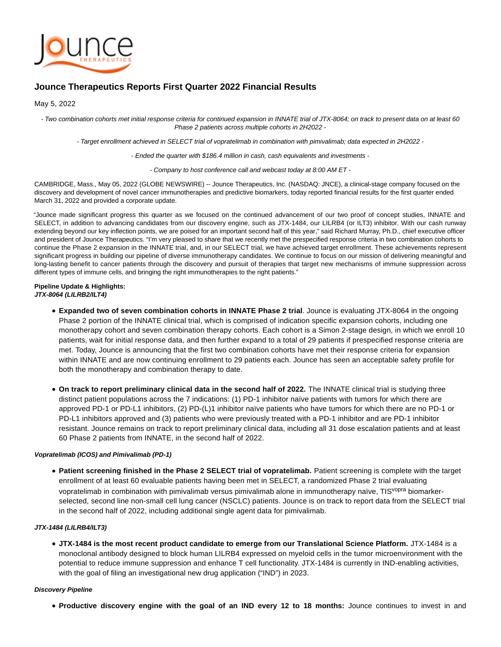

# **Jounce Therapeutics Reports First Quarter 2022 Financial Results**

May 5, 2022

- Two combination cohorts met initial response criteria for continued expansion in INNATE trial of JTX-8064; on track to present data on at least 60 Phase 2 patients across multiple cohorts in 2H2022 -

- Target enrollment achieved in SELECT trial of vopratelimab in combination with pimivalimab; data expected in 2H2022 -

- Ended the quarter with \$186.4 million in cash, cash equivalents and investments -

- Company to host conference call and webcast today at 8:00 AM ET -

CAMBRIDGE, Mass., May 05, 2022 (GLOBE NEWSWIRE) -- Jounce Therapeutics, Inc. (NASDAQ: JNCE), a clinical-stage company focused on the discovery and development of novel cancer immunotherapies and predictive biomarkers, today reported financial results for the first quarter ended March 31, 2022 and provided a corporate update.

"Jounce made significant progress this quarter as we focused on the continued advancement of our two proof of concept studies, INNATE and SELECT, in addition to advancing candidates from our discovery engine, such as JTX-1484, our LILRB4 (or ILT3) inhibitor. With our cash runway extending beyond our key inflection points, we are poised for an important second half of this year," said Richard Murray, Ph.D., chief executive officer and president of Jounce Therapeutics. "I'm very pleased to share that we recently met the prespecified response criteria in two combination cohorts to continue the Phase 2 expansion in the INNATE trial, and, in our SELECT trial, we have achieved target enrollment. These achievements represent significant progress in building our pipeline of diverse immunotherapy candidates. We continue to focus on our mission of delivering meaningful and long-lasting benefit to cancer patients through the discovery and pursuit of therapies that target new mechanisms of immune suppression across different types of immune cells, and bringing the right immunotherapies to the right patients."

# **Pipeline Update & Highlights:**

- **JTX-8064 (LILRB2/ILT4)**
	- **Expanded two of seven combination cohorts in INNATE Phase 2 trial**. Jounce is evaluating JTX-8064 in the ongoing Phase 2 portion of the INNATE clinical trial, which is comprised of indication specific expansion cohorts, including one monotherapy cohort and seven combination therapy cohorts. Each cohort is a Simon 2-stage design, in which we enroll 10 patients, wait for initial response data, and then further expand to a total of 29 patients if prespecified response criteria are met. Today, Jounce is announcing that the first two combination cohorts have met their response criteria for expansion within INNATE and are now continuing enrollment to 29 patients each. Jounce has seen an acceptable safety profile for both the monotherapy and combination therapy to date.
	- **On track to report preliminary clinical data in the second half of 2022.** The INNATE clinical trial is studying three distinct patient populations across the 7 indications: (1) PD-1 inhibitor naïve patients with tumors for which there are approved PD-1 or PD-L1 inhibitors, (2) PD-(L)1 inhibitor naïve patients who have tumors for which there are no PD-1 or PD-L1 inhibitors approved and (3) patients who were previously treated with a PD-1 inhibitor and are PD-1 inhibitor resistant. Jounce remains on track to report preliminary clinical data, including all 31 dose escalation patients and at least 60 Phase 2 patients from INNATE, in the second half of 2022.

# **Vopratelimab (ICOS) and Pimivalimab (PD-1)**

**Patient screening finished in the Phase 2 SELECT trial of vopratelimab.** Patient screening is complete with the target enrollment of at least 60 evaluable patients having been met in SELECT, a randomized Phase 2 trial evaluating vopratelimab in combination with pimivalimab versus pimivalimab alone in immunotherapy naïve, TIS<sup>vopra</sup> biomarkerselected, second line non-small cell lung cancer (NSCLC) patients. Jounce is on track to report data from the SELECT trial in the second half of 2022, including additional single agent data for pimivalimab.

# **JTX-1484 (LILRB4/ILT3)**

**JTX-1484 is the most recent product candidate to emerge from our Translational Science Platform.** JTX-1484 is a monoclonal antibody designed to block human LILRB4 expressed on myeloid cells in the tumor microenvironment with the potential to reduce immune suppression and enhance T cell functionality. JTX-1484 is currently in IND-enabling activities, with the goal of filing an investigational new drug application ("IND") in 2023.

### **Discovery Pipeline**

**Productive discovery engine with the goal of an IND every 12 to 18 months:** Jounce continues to invest in and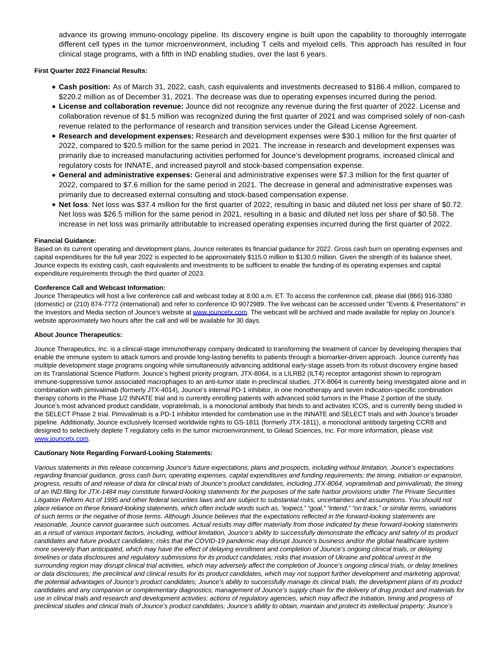advance its growing immuno-oncology pipeline. Its discovery engine is built upon the capability to thoroughly interrogate different cell types in the tumor microenvironment, including T cells and myeloid cells. This approach has resulted in four clinical stage programs, with a fifth in IND enabling studies, over the last 6 years.

## **First Quarter 2022 Financial Results:**

- **Cash position:** As of March 31, 2022, cash, cash equivalents and investments decreased to \$186.4 million, compared to \$220.2 million as of December 31, 2021. The decrease was due to operating expenses incurred during the period.
- **License and collaboration revenue:** Jounce did not recognize any revenue during the first quarter of 2022. License and collaboration revenue of \$1.5 million was recognized during the first quarter of 2021 and was comprised solely of non-cash revenue related to the performance of research and transition services under the Gilead License Agreement.
- **Research and development expenses:** Research and development expenses were \$30.1 million for the first quarter of 2022, compared to \$20.5 million for the same period in 2021. The increase in research and development expenses was primarily due to increased manufacturing activities performed for Jounce's development programs, increased clinical and regulatory costs for INNATE, and increased payroll and stock-based compensation expense.
- **General and administrative expenses:** General and administrative expenses were \$7.3 million for the first quarter of 2022, compared to \$7.6 million for the same period in 2021. The decrease in general and administrative expenses was primarily due to decreased external consulting and stock-based compensation expense.
- **Net loss**: Net loss was \$37.4 million for the first quarter of 2022, resulting in basic and diluted net loss per share of \$0.72. Net loss was \$26.5 million for the same period in 2021, resulting in a basic and diluted net loss per share of \$0.58. The increase in net loss was primarily attributable to increased operating expenses incurred during the first quarter of 2022.

#### **Financial Guidance:**

Based on its current operating and development plans, Jounce reiterates its financial guidance for 2022. Gross cash burn on operating expenses and capital expenditures for the full year 2022 is expected to be approximately \$115.0 million to \$130.0 million. Given the strength of its balance sheet, Jounce expects its existing cash, cash equivalents and investments to be sufficient to enable the funding of its operating expenses and capital expenditure requirements through the third quarter of 2023.

## **Conference Call and Webcast Information:**

Jounce Therapeutics will host a live conference call and webcast today at 8:00 a.m. ET. To access the conference call, please dial (866) 916-3380 (domestic) or (210) 874-7772 (international) and refer to conference ID 9072989. The live webcast can be accessed under "Events & Presentations" in the Investors and Media section of Jounce's website at [www.jouncetx.com.](https://www.globenewswire.com/Tracker?data=i35Q-IjKSGL0lix-j8UvddZqCsKVmCJX9TJL_M6ukCz2l5KpGjNxcRwVaJ11ZnOd3U-vQ887r6O8WHnUmjVwqg==) The webcast will be archived and made available for replay on Jounce's website approximately two hours after the call and will be available for 30 days.

#### **About Jounce Therapeutics:**

Jounce Therapeutics, Inc. is a clinical-stage immunotherapy company dedicated to transforming the treatment of cancer by developing therapies that enable the immune system to attack tumors and provide long-lasting benefits to patients through a biomarker-driven approach. Jounce currently has multiple development stage programs ongoing while simultaneously advancing additional early-stage assets from its robust discovery engine based on its Translational Science Platform. Jounce's highest priority program, JTX-8064, is a LILRB2 (ILT4) receptor antagonist shown to reprogram immune-suppressive tumor associated macrophages to an anti-tumor state in preclinical studies. JTX-8064 is currently being investigated alone and in combination with pimivalimab (formerly JTX-4014), Jounce's internal PD-1 inhibitor, in one monotherapy and seven indication-specific combination therapy cohorts in the Phase 1/2 INNATE trial and is currently enrolling patients with advanced solid tumors in the Phase 2 portion of the study. Jounce's most advanced product candidate, vopratelimab, is a monoclonal antibody that binds to and activates ICOS, and is currently being studied in the SELECT Phase 2 trial. Pimivalimab is a PD-1 inhibitor intended for combination use in the INNATE and SELECT trials and with Jounce's broader pipeline. Additionally, Jounce exclusively licensed worldwide rights to GS-1811 (formerly JTX-1811), a monoclonal antibody targeting CCR8 and designed to selectively deplete T regulatory cells in the tumor microenvironment, to Gilead Sciences, Inc. For more information, please visit [www.jouncetx.com.](https://www.globenewswire.com/Tracker?data=i35Q-IjKSGL0lix-j8UvdbbtLDP72tbXlUIpmm5y_mKPPaz2JJN5vtdrTDjY4-DUzQ2xb2sne7yZoPeAH9kZng==)

#### **Cautionary Note Regarding Forward-Looking Statements:**

Various statements in this release concerning Jounce's future expectations, plans and prospects, including without limitation, Jounce's expectations regarding financial guidance, gross cash burn, operating expenses, capital expenditures and funding requirements; the timing, initiation or expansion, progress, results of and release of data for clinical trials of Jounce's product candidates, including JTX-8064, vopratelimab and pimivalimab; the timing of an IND filing for JTX-1484 may constitute forward-looking statements for the purposes of the safe harbor provisions under The Private Securities Litigation Reform Act of 1995 and other federal securities laws and are subject to substantial risks, uncertainties and assumptions. You should not place reliance on these forward-looking statements, which often include words such as, "expect," "goal," "intend," "on track," or similar terms, variations of such terms or the negative of those terms. Although Jounce believes that the expectations reflected in the forward-looking statements are reasonable, Jounce cannot guarantee such outcomes. Actual results may differ materially from those indicated by these forward-looking statements as a result of various important factors, including, without limitation, Jounce's ability to successfully demonstrate the efficacy and safety of its product candidates and future product candidates; risks that the COVID-19 pandemic may disrupt Jounce's business and/or the global healthcare system more severely than anticipated, which may have the effect of delaying enrollment and completion of Jounce's ongoing clinical trials, or delaying timelines or data disclosures and regulatory submissions for its product candidates; risks that invasion of Ukraine and political unrest in the surrounding region may disrupt clinical trial activities, which may adversely affect the completion of Jounce's ongoing clinical trials, or delay timelines or data disclosures; the preclinical and clinical results for its product candidates, which may not support further development and marketing approval; the potential advantages of Jounce's product candidates; Jounce's ability to successfully manage its clinical trials; the development plans of its product candidates and any companion or complementary diagnostics; management of Jounce's supply chain for the delivery of drug product and materials for use in clinical trials and research and development activities; actions of regulatory agencies, which may affect the initiation, timing and progress of preclinical studies and clinical trials of Jounce's product candidates; Jounce's ability to obtain, maintain and protect its intellectual property; Jounce's